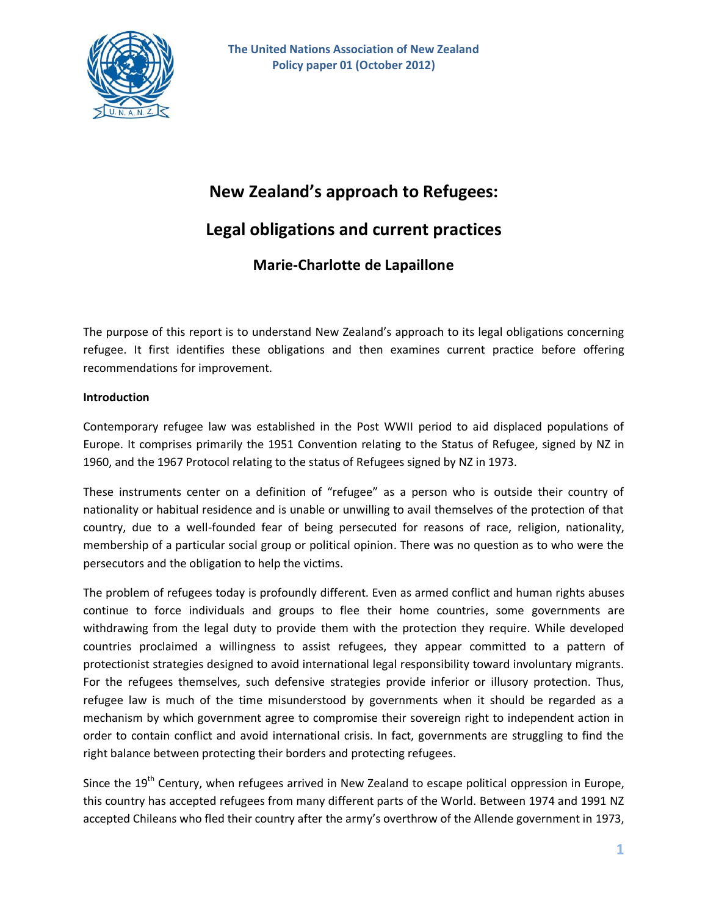

# **New Zealand's approach to Refugees:**

## **Legal obligations and current practices**

## **Marie-Charlotte de Lapaillone**

The purpose of this report is to understand New Zealand's approach to its legal obligations concerning refugee. It first identifies these obligations and then examines current practice before offering recommendations for improvement.

#### **Introduction**

Contemporary refugee law was established in the Post WWII period to aid displaced populations of Europe. It comprises primarily the 1951 Convention relating to the Status of Refugee, signed by NZ in 1960, and the 1967 Protocol relating to the status of Refugees signed by NZ in 1973.

These instruments center on a definition of "refugee" as a person who is outside their country of nationality or habitual residence and is unable or unwilling to avail themselves of the protection of that country, due to a well-founded fear of being persecuted for reasons of race, religion, nationality, membership of a particular social group or political opinion. There was no question as to who were the persecutors and the obligation to help the victims.

The problem of refugees today is profoundly different. Even as armed conflict and human rights abuses continue to force individuals and groups to flee their home countries, some governments are withdrawing from the legal duty to provide them with the protection they require. While developed countries proclaimed a willingness to assist refugees, they appear committed to a pattern of protectionist strategies designed to avoid international legal responsibility toward involuntary migrants. For the refugees themselves, such defensive strategies provide inferior or illusory protection. Thus, refugee law is much of the time misunderstood by governments when it should be regarded as a mechanism by which government agree to compromise their sovereign right to independent action in order to contain conflict and avoid international crisis. In fact, governments are struggling to find the right balance between protecting their borders and protecting refugees.

Since the 19<sup>th</sup> Century, when refugees arrived in New Zealand to escape political oppression in Europe, this country has accepted refugees from many different parts of the World. Between 1974 and 1991 NZ accepted Chileans who fled their country after the army's overthrow of the Allende government in 1973,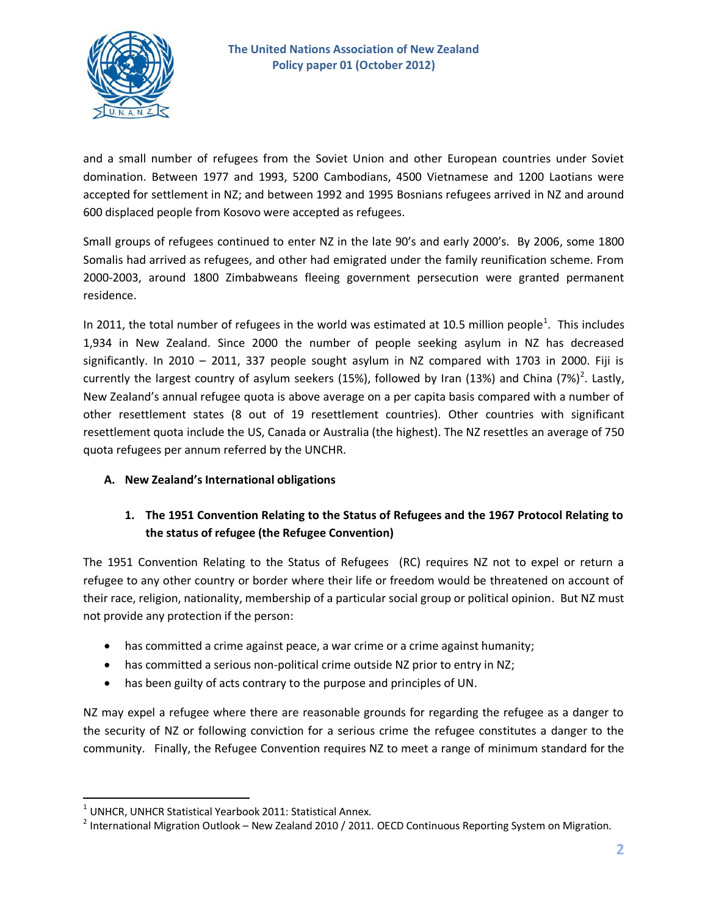

and a small number of refugees from the Soviet Union and other European countries under Soviet domination. Between 1977 and 1993, 5200 Cambodians, 4500 Vietnamese and 1200 Laotians were accepted for settlement in NZ; and between 1992 and 1995 Bosnians refugees arrived in NZ and around 600 displaced people from Kosovo were accepted as refugees.

Small groups of refugees continued to enter NZ in the late 90's and early 2000's. By 2006, some 1800 Somalis had arrived as refugees, and other had emigrated under the family reunification scheme. From 2000-2003, around 1800 Zimbabweans fleeing government persecution were granted permanent residence.

In 2011, the total number of refugees in the world was estimated at 10.5 million people<sup>1</sup>. This includes 1,934 in New Zealand. Since 2000 the number of people seeking asylum in NZ has decreased significantly. In 2010 – 2011, 337 people sought asylum in NZ compared with 1703 in 2000. Fiji is currently the largest country of asylum seekers (15%), followed by Iran (13%) and China (7%)<sup>2</sup>. Lastly, New Zealand's annual refugee quota is above average on a per capita basis compared with a number of other resettlement states (8 out of 19 resettlement countries). Other countries with significant resettlement quota include the US, Canada or Australia (the highest). The NZ resettles an average of 750 quota refugees per annum referred by the UNCHR.

## **A. New Zealand's International obligations**

## **1. The 1951 Convention Relating to the Status of Refugees and the 1967 Protocol Relating to the status of refugee (the Refugee Convention)**

The 1951 Convention Relating to the Status of Refugees (RC) requires NZ not to expel or return a refugee to any other country or border where their life or freedom would be threatened on account of their race, religion, nationality, membership of a particular social group or political opinion. But NZ must not provide any protection if the person:

- has committed a crime against peace, a war crime or a crime against humanity;
- has committed a serious non-political crime outside NZ prior to entry in NZ;
- has been guilty of acts contrary to the purpose and principles of UN.

NZ may expel a refugee where there are reasonable grounds for regarding the refugee as a danger to the security of NZ or following conviction for a serious crime the refugee constitutes a danger to the community. Finally, the Refugee Convention requires NZ to meet a range of minimum standard for the

 $\overline{a}$ 

 $1$  UNHCR, UNHCR Statistical Yearbook 2011: Statistical Annex.

 $^2$  International Migration Outlook – New Zealand 2010 / 2011. OECD Continuous Reporting System on Migration.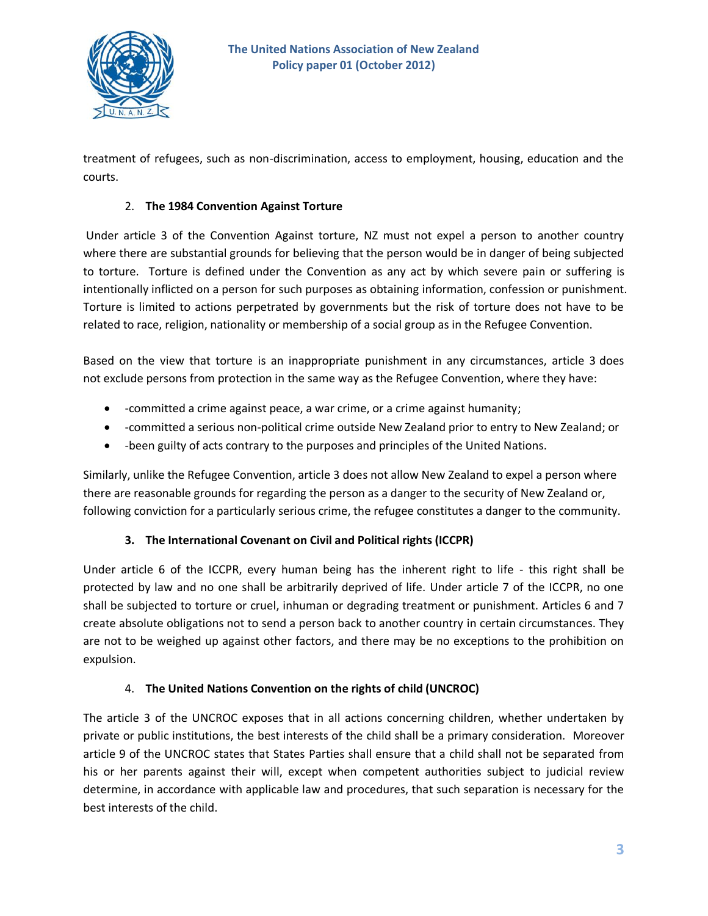

treatment of refugees, such as non-discrimination, access to employment, housing, education and the courts.

#### 2. **The 1984 Convention Against Torture**

Under article 3 of the Convention Against torture, NZ must not expel a person to another country where there are substantial grounds for believing that the person would be in danger of being subjected to torture. Torture is defined under the Convention as any act by which severe pain or suffering is intentionally inflicted on a person for such purposes as obtaining information, confession or punishment. Torture is limited to actions perpetrated by governments but the risk of torture does not have to be related to race, religion, nationality or membership of a social group as in the Refugee Convention.

Based on the view that torture is an inappropriate punishment in any circumstances, article 3 does not exclude persons from protection in the same way as the Refugee Convention, where they have:

- -committed a crime against peace, a war crime, or a crime against humanity;
- -committed a serious non-political crime outside New Zealand prior to entry to New Zealand; or
- -been guilty of acts contrary to the purposes and principles of the United Nations.

Similarly, unlike the Refugee Convention, article 3 does not allow New Zealand to expel a person where there are reasonable grounds for regarding the person as a danger to the security of New Zealand or, following conviction for a particularly serious crime, the refugee constitutes a danger to the community.

## **3. The International Covenant on Civil and Political rights (ICCPR)**

Under article 6 of the ICCPR, every human being has the inherent right to life - this right shall be protected by law and no one shall be arbitrarily deprived of life. Under article 7 of the ICCPR, no one shall be subjected to torture or cruel, inhuman or degrading treatment or punishment. Articles 6 and 7 create absolute obligations not to send a person back to another country in certain circumstances. They are not to be weighed up against other factors, and there may be no exceptions to the prohibition on expulsion.

## 4. **The United Nations Convention on the rights of child (UNCROC)**

The article 3 of the UNCROC exposes that in all actions concerning children, whether undertaken by private or public institutions, the best interests of the child shall be a primary consideration. Moreover article 9 of the UNCROC states that States Parties shall ensure that a child shall not be separated from his or her parents against their will, except when competent authorities subject to judicial review determine, in accordance with applicable law and procedures, that such separation is necessary for the best interests of the child.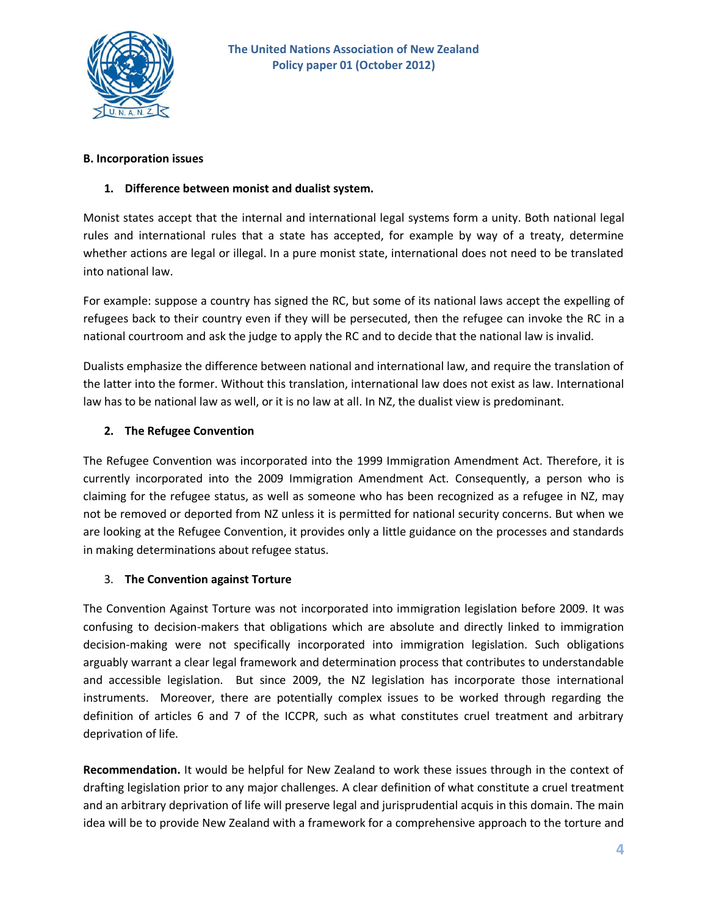

#### **B. Incorporation issues**

## **1. Difference between monist and dualist system.**

Monist states accept that the internal and international legal systems form a unity. Both national legal rules and international rules that a state has accepted, for example by way of a treaty, determine whether actions are legal or illegal. In a pure monist state, international does not need to be translated into national law.

For example: suppose a country has signed the RC, but some of its national laws accept the expelling of refugees back to their country even if they will be persecuted, then the refugee can invoke the RC in a national courtroom and ask the judge to apply the RC and to decide that the national law is invalid.

Dualists emphasize the difference between national and international law, and require the translation of the latter into the former. Without this translation, international law does not exist as law. International law has to be national law as well, or it is no law at all. In NZ, the dualist view is predominant.

## **2. The Refugee Convention**

The Refugee Convention was incorporated into the 1999 Immigration Amendment Act. Therefore, it is currently incorporated into the 2009 Immigration Amendment Act. Consequently, a person who is claiming for the refugee status, as well as someone who has been recognized as a refugee in NZ, may not be removed or deported from NZ unless it is permitted for national security concerns. But when we are looking at the Refugee Convention, it provides only a little guidance on the processes and standards in making determinations about refugee status.

## 3. **The Convention against Torture**

The Convention Against Torture was not incorporated into immigration legislation before 2009. It was confusing to decision-makers that obligations which are absolute and directly linked to immigration decision-making were not specifically incorporated into immigration legislation. Such obligations arguably warrant a clear legal framework and determination process that contributes to understandable and accessible legislation. But since 2009, the NZ legislation has incorporate those international instruments. Moreover, there are potentially complex issues to be worked through regarding the definition of articles 6 and 7 of the ICCPR, such as what constitutes cruel treatment and arbitrary deprivation of life.

**Recommendation.** It would be helpful for New Zealand to work these issues through in the context of drafting legislation prior to any major challenges. A clear definition of what constitute a cruel treatment and an arbitrary deprivation of life will preserve legal and jurisprudential acquis in this domain. The main idea will be to provide New Zealand with a framework for a comprehensive approach to the torture and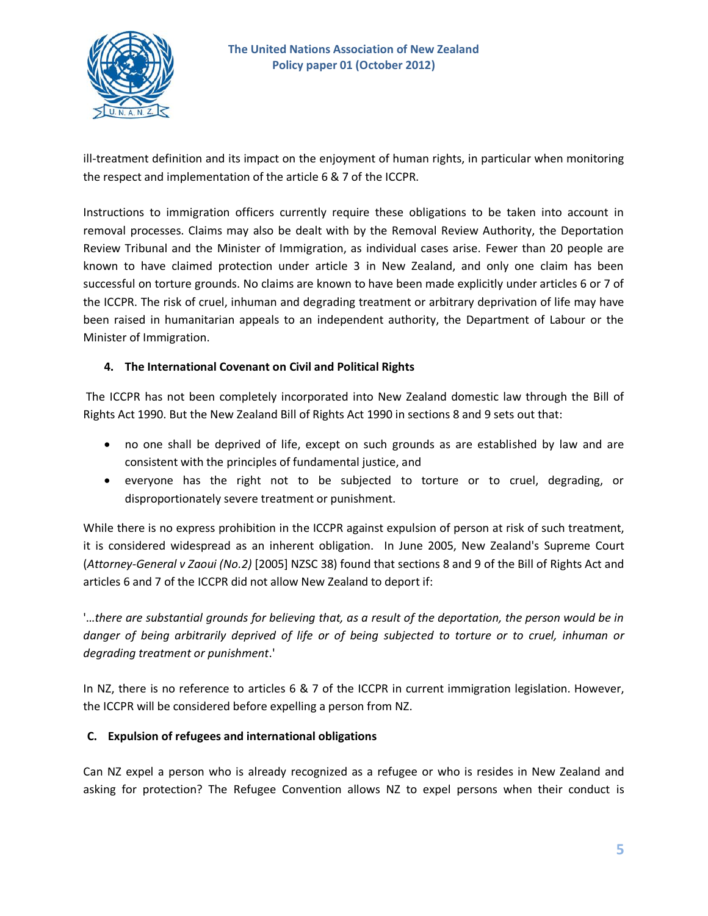

ill-treatment definition and its impact on the enjoyment of human rights, in particular when monitoring the respect and implementation of the article 6 & 7 of the ICCPR.

Instructions to immigration officers currently require these obligations to be taken into account in removal processes. Claims may also be dealt with by the Removal Review Authority, the Deportation Review Tribunal and the Minister of Immigration, as individual cases arise. Fewer than 20 people are known to have claimed protection under article 3 in New Zealand, and only one claim has been successful on torture grounds. No claims are known to have been made explicitly under articles 6 or 7 of the ICCPR. The risk of cruel, inhuman and degrading treatment or arbitrary deprivation of life may have been raised in humanitarian appeals to an independent authority, the Department of Labour or the Minister of Immigration.

#### **4. The International Covenant on Civil and Political Rights**

The ICCPR has not been completely incorporated into New Zealand domestic law through the Bill of Rights Act 1990. But the New Zealand Bill of Rights Act 1990 in sections 8 and 9 sets out that:

- no one shall be deprived of life, except on such grounds as are established by law and are consistent with the principles of fundamental justice, and
- everyone has the right not to be subjected to torture or to cruel, degrading, or disproportionately severe treatment or punishment.

While there is no express prohibition in the ICCPR against expulsion of person at risk of such treatment, it is considered widespread as an inherent obligation. In June 2005, New Zealand's Supreme Court (*Attorney-General v Zaoui (No.2)* [2005] NZSC 38) found that sections 8 and 9 of the Bill of Rights Act and articles 6 and 7 of the ICCPR did not allow New Zealand to deport if:

'…*there are substantial grounds for believing that, as a result of the deportation, the person would be in danger of being arbitrarily deprived of life or of being subjected to torture or to cruel, inhuman or degrading treatment or punishment*.'

In NZ, there is no reference to articles 6 & 7 of the ICCPR in current immigration legislation. However, the ICCPR will be considered before expelling a person from NZ.

#### **C. Expulsion of refugees and international obligations**

Can NZ expel a person who is already recognized as a refugee or who is resides in New Zealand and asking for protection? The Refugee Convention allows NZ to expel persons when their conduct is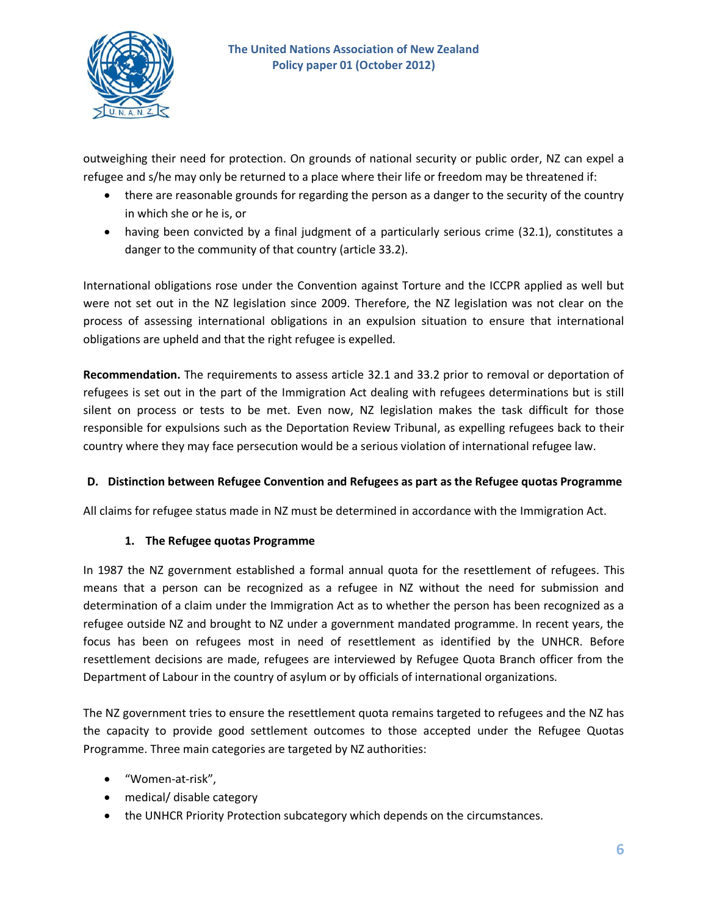

outweighing their need for protection. On grounds of national security or public order, NZ can expel a refugee and s/he may only be returned to a place where their life or freedom may be threatened if:

- there are reasonable grounds for regarding the person as a danger to the security of the country in which she or he is, or
- having been convicted by a final judgment of a particularly serious crime (32.1), constitutes a danger to the community of that country (article 33.2).

International obligations rose under the Convention against Torture and the ICCPR applied as well but were not set out in the NZ legislation since 2009. Therefore, the NZ legislation was not clear on the process of assessing international obligations in an expulsion situation to ensure that international obligations are upheld and that the right refugee is expelled.

**Recommendation.** The requirements to assess article 32.1 and 33.2 prior to removal or deportation of refugees is set out in the part of the Immigration Act dealing with refugees determinations but is still silent on process or tests to be met. Even now, NZ legislation makes the task difficult for those responsible for expulsions such as the Deportation Review Tribunal, as expelling refugees back to their country where they may face persecution would be a serious violation of international refugee law.

## **D. Distinction between Refugee Convention and Refugees as part as the Refugee quotas Programme**

All claims for refugee status made in NZ must be determined in accordance with the Immigration Act.

#### **1. The Refugee quotas Programme**

In 1987 the NZ government established a formal annual quota for the resettlement of refugees. This means that a person can be recognized as a refugee in NZ without the need for submission and determination of a claim under the Immigration Act as to whether the person has been recognized as a refugee outside NZ and brought to NZ under a government mandated programme. In recent years, the focus has been on refugees most in need of resettlement as identified by the UNHCR. Before resettlement decisions are made, refugees are interviewed by Refugee Quota Branch officer from the Department of Labour in the country of asylum or by officials of international organizations.

The NZ government tries to ensure the resettlement quota remains targeted to refugees and the NZ has the capacity to provide good settlement outcomes to those accepted under the Refugee Quotas Programme. Three main categories are targeted by NZ authorities:

- "Women-at-risk",
- medical/ disable category
- the UNHCR Priority Protection subcategory which depends on the circumstances.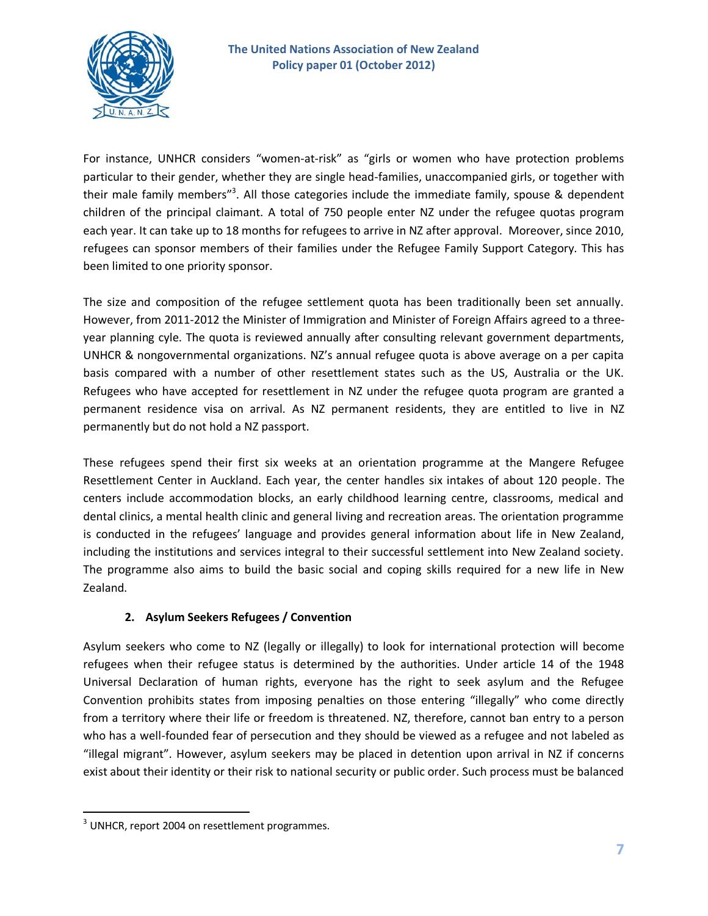

For instance, UNHCR considers "women-at-risk" as "girls or women who have protection problems particular to their gender, whether they are single head-families, unaccompanied girls, or together with their male family members"<sup>3</sup>. All those categories include the immediate family, spouse & dependent children of the principal claimant. A total of 750 people enter NZ under the refugee quotas program each year. It can take up to 18 months for refugees to arrive in NZ after approval. Moreover, since 2010, refugees can sponsor members of their families under the Refugee Family Support Category. This has been limited to one priority sponsor.

The size and composition of the refugee settlement quota has been traditionally been set annually. However, from 2011-2012 the Minister of Immigration and Minister of Foreign Affairs agreed to a threeyear planning cyle. The quota is reviewed annually after consulting relevant government departments, UNHCR & nongovernmental organizations. NZ's annual refugee quota is above average on a per capita basis compared with a number of other resettlement states such as the US, Australia or the UK. Refugees who have accepted for resettlement in NZ under the refugee quota program are granted a permanent residence visa on arrival. As NZ permanent residents, they are entitled to live in NZ permanently but do not hold a NZ passport.

These refugees spend their first six weeks at an orientation programme at the Mangere Refugee Resettlement Center in Auckland. Each year, the center handles six intakes of about 120 people. The centers include accommodation blocks, an early childhood learning centre, classrooms, medical and dental clinics, a mental health clinic and general living and recreation areas. The orientation programme is conducted in the refugees' language and provides general information about life in New Zealand, including the institutions and services integral to their successful settlement into New Zealand society. The programme also aims to build the basic social and coping skills required for a new life in New Zealand.

## **2. Asylum Seekers Refugees / Convention**

Asylum seekers who come to NZ (legally or illegally) to look for international protection will become refugees when their refugee status is determined by the authorities. Under article 14 of the 1948 Universal Declaration of human rights, everyone has the right to seek asylum and the Refugee Convention prohibits states from imposing penalties on those entering "illegally" who come directly from a territory where their life or freedom is threatened. NZ, therefore, cannot ban entry to a person who has a well-founded fear of persecution and they should be viewed as a refugee and not labeled as "illegal migrant". However, asylum seekers may be placed in detention upon arrival in NZ if concerns exist about their identity or their risk to national security or public order. Such process must be balanced

 $\overline{\phantom{a}}$ 

 $3$  UNHCR, report 2004 on resettlement programmes.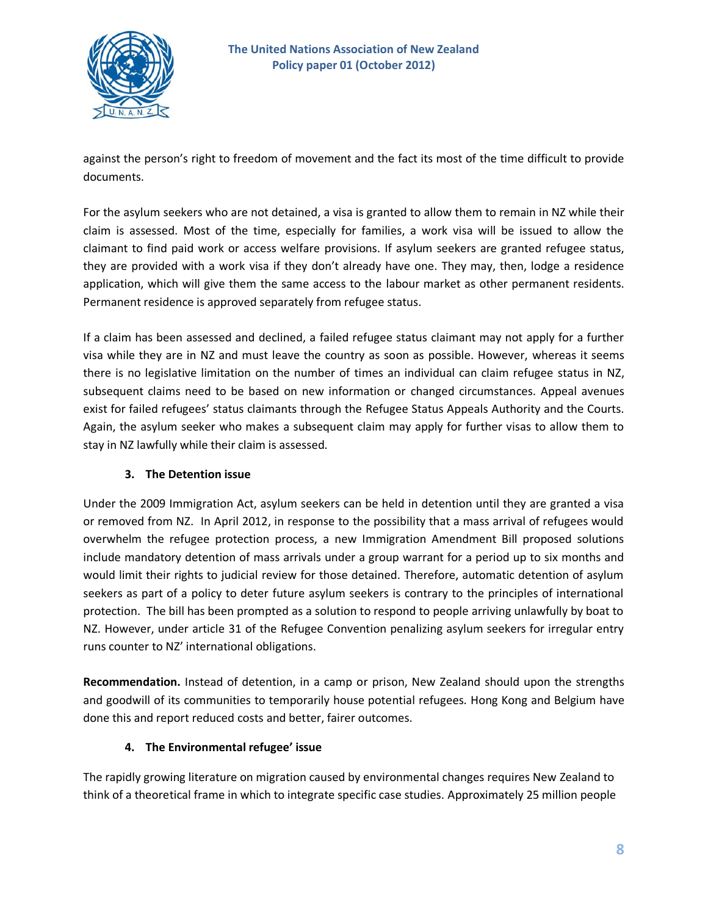

against the person's right to freedom of movement and the fact its most of the time difficult to provide documents.

For the asylum seekers who are not detained, a visa is granted to allow them to remain in NZ while their claim is assessed. Most of the time, especially for families, a work visa will be issued to allow the claimant to find paid work or access welfare provisions. If asylum seekers are granted refugee status, they are provided with a work visa if they don't already have one. They may, then, lodge a residence application, which will give them the same access to the labour market as other permanent residents. Permanent residence is approved separately from refugee status.

If a claim has been assessed and declined, a failed refugee status claimant may not apply for a further visa while they are in NZ and must leave the country as soon as possible. However, whereas it seems there is no legislative limitation on the number of times an individual can claim refugee status in NZ, subsequent claims need to be based on new information or changed circumstances. Appeal avenues exist for failed refugees' status claimants through the Refugee Status Appeals Authority and the Courts. Again, the asylum seeker who makes a subsequent claim may apply for further visas to allow them to stay in NZ lawfully while their claim is assessed.

## **3. The Detention issue**

Under the 2009 Immigration Act, asylum seekers can be held in detention until they are granted a visa or removed from NZ. In April 2012, in response to the possibility that a mass arrival of refugees would overwhelm the refugee protection process, a new Immigration Amendment Bill proposed solutions include mandatory detention of mass arrivals under a group warrant for a period up to six months and would limit their rights to judicial review for those detained. Therefore, automatic detention of asylum seekers as part of a policy to deter future asylum seekers is contrary to the principles of international protection. The bill has been prompted as a solution to respond to people arriving unlawfully by boat to NZ. However, under article 31 of the Refugee Convention penalizing asylum seekers for irregular entry runs counter to NZ' international obligations.

**Recommendation.** Instead of detention, in a camp or prison, New Zealand should upon the strengths and goodwill of its communities to temporarily house potential refugees. Hong Kong and Belgium have done this and report reduced costs and better, fairer outcomes.

#### **4. The Environmental refugee' issue**

The rapidly growing literature on migration caused by environmental changes requires New Zealand to think of a theoretical frame in which to integrate specific case studies. Approximately 25 million people